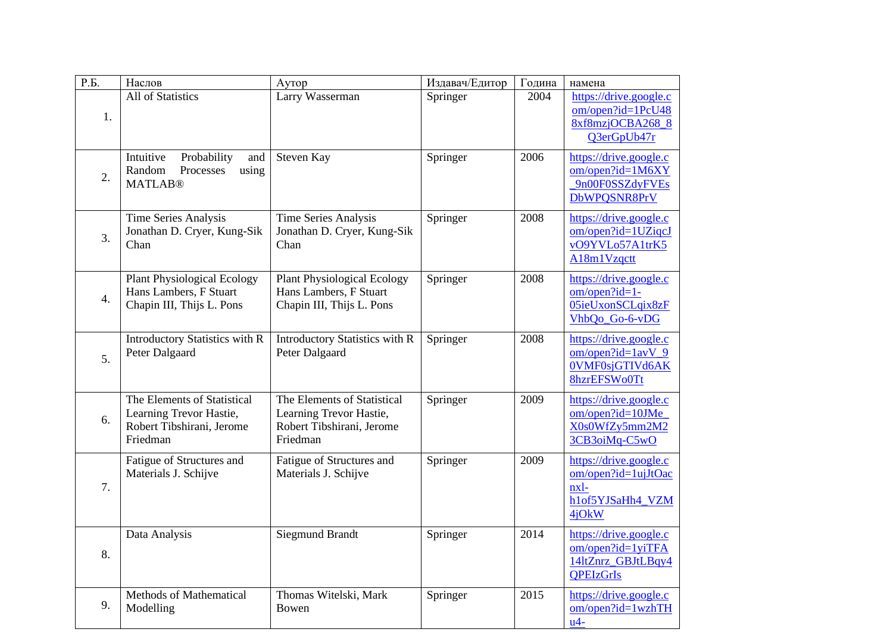| Р.Б.             | Наслов                                                                                          | Аутор                                                                                           | Издавач/Едитор | Година | намена                                                                                   |
|------------------|-------------------------------------------------------------------------------------------------|-------------------------------------------------------------------------------------------------|----------------|--------|------------------------------------------------------------------------------------------|
| 1.               | All of Statistics                                                                               | Larry Wasserman                                                                                 | Springer       | 2004   | https://drive.google.c<br>om/open?id=1PcU48<br>8xf8mzjOCBA268_8<br>Q3erGpUb47r           |
| $\overline{2}$ . | Intuitive<br>Probability<br>and<br>Random<br>using<br>Processes<br><b>MATLAB®</b>               | Steven Kay                                                                                      | Springer       | 2006   | https://drive.google.c<br>$om/open$ ?id=1M6XY<br>9n00F0SSZdyFVEs<br>DbWPQSNR8PrV         |
| 3.               | Time Series Analysis<br>Jonathan D. Cryer, Kung-Sik<br>Chan                                     | <b>Time Series Analysis</b><br>Jonathan D. Cryer, Kung-Sik<br>Chan                              | Springer       | 2008   | https://drive.google.c<br>om/open?id=1UZiqcJ<br>vO9YVLo57A1trK5<br>A18m1Vzqctt           |
| $\overline{4}$ . | <b>Plant Physiological Ecology</b><br>Hans Lambers, F Stuart<br>Chapin III, Thijs L. Pons       | <b>Plant Physiological Ecology</b><br>Hans Lambers, F Stuart<br>Chapin III, Thijs L. Pons       | Springer       | 2008   | https://drive.google.c<br>om/open?id=1-<br>05ieUxonSCLqix8zF<br>VhbQo_Go-6-vDG           |
| 5.               | Introductory Statistics with R<br>Peter Dalgaard                                                | Introductory Statistics with R<br>Peter Dalgaard                                                | Springer       | 2008   | https://drive.google.c<br>$om/open$ ?id= $1avV_9$<br>0VMF0sjGTIVd6AK<br>8hzrEFSWo0Tt     |
| 6.               | The Elements of Statistical<br>Learning Trevor Hastie,<br>Robert Tibshirani, Jerome<br>Friedman | The Elements of Statistical<br>Learning Trevor Hastie,<br>Robert Tibshirani, Jerome<br>Friedman | Springer       | 2009   | https://drive.google.c<br>om/open?id=10JMe<br>X0s0WfZy5mm2M2<br>3CB3oiMq-C5wO            |
| 7.               | Fatigue of Structures and<br>Materials J. Schijve                                               | Fatigue of Structures and<br>Materials J. Schijve                                               | Springer       | 2009   | https://drive.google.c<br>om/open?id=1ujJtOac<br>nxl-<br>h1of5YJSaHh4_VZM<br>4jOkW       |
| 8.               | Data Analysis                                                                                   | <b>Siegmund Brandt</b>                                                                          | Springer       | 2014   | https://drive.google.c<br>$om/open$ ?id=1yiTFA<br>14ltZnrz_GBJtLBqy4<br><b>OPEIzGrIs</b> |
| 9.               | Methods of Mathematical<br>Modelling                                                            | Thomas Witelski, Mark<br>Bowen                                                                  | Springer       | 2015   | https://drive.google.c<br>$om/open$ ? $id=1$ wzhTH<br>$u4-$                              |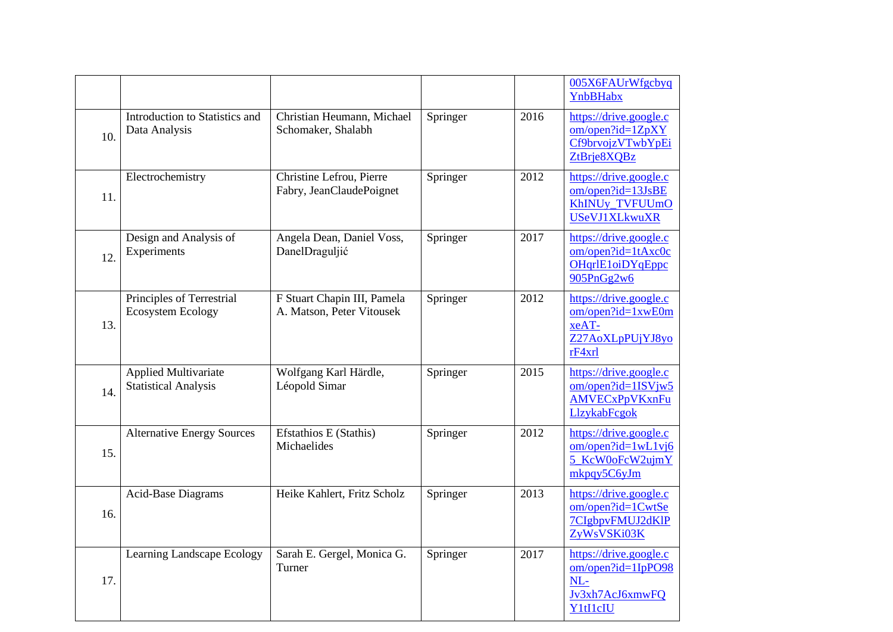|     |                                                            |                                                          |          |      | 005X6FAUrWfgcbyq<br>YnbBHabx                                                             |
|-----|------------------------------------------------------------|----------------------------------------------------------|----------|------|------------------------------------------------------------------------------------------|
| 10. | Introduction to Statistics and<br>Data Analysis            | Christian Heumann, Michael<br>Schomaker, Shalabh         | Springer | 2016 | https://drive.google.c<br>$om/open$ ?id= $1ZpXY$<br>Cf9brvojzVTwbYpEi<br>ZtBrje8XQBz     |
| 11. | Electrochemistry                                           | Christine Lefrou, Pierre<br>Fabry, JeanClaudePoignet     | Springer | 2012 | https://drive.google.c<br>$om/open$ ?id=13JsBE<br>KhINUy_TVFUUmO<br><b>USeVJ1XLkwuXR</b> |
| 12. | Design and Analysis of<br>Experiments                      | Angela Dean, Daniel Voss,<br>DanelDraguljić              | Springer | 2017 | https://drive.google.c<br>om/open?id=1tAxc0c<br>OHqrlE1oiDYqEppc<br>905PnGg2w6           |
| 13. | Principles of Terrestrial<br><b>Ecosystem Ecology</b>      | F Stuart Chapin III, Pamela<br>A. Matson, Peter Vitousek | Springer | 2012 | https://drive.google.c<br>$om/open$ ?id=1xwE0m<br>xeAT-<br>Z27AoXLpPUjYJ8yo<br>rF4xrl    |
| 14. | <b>Applied Multivariate</b><br><b>Statistical Analysis</b> | Wolfgang Karl Härdle,<br>Léopold Simar                   | Springer | 2015 | https://drive.google.c<br>$om/open$ ?id=1ISVjw5<br>AMVECxPpVKxnFu<br>LlzykabFcgok        |
| 15. | <b>Alternative Energy Sources</b>                          | Efstathios E (Stathis)<br>Michaelides                    | Springer | 2012 | https://drive.google.c<br>$om/open$ ?id=1wL1vj6<br>5_KcW0oFcW2ujmY<br>mkpqy5C6yJm        |
| 16. | Acid-Base Diagrams                                         | Heike Kahlert, Fritz Scholz                              | Springer | 2013 | https://drive.google.c<br>om/open?id=1CwtSe<br>7CIgbpvFMUJ2dKlP<br>ZyWsVSKi03K           |
| 17. | Learning Landscape Ecology                                 | Sarah E. Gergel, Monica G.<br>Turner                     | Springer | 2017 | https://drive.google.c<br>om/open?id=1IpPO98<br>$NL-$<br>Jv3xh7AcJ6xmwFQ<br>Y1tI1cIU     |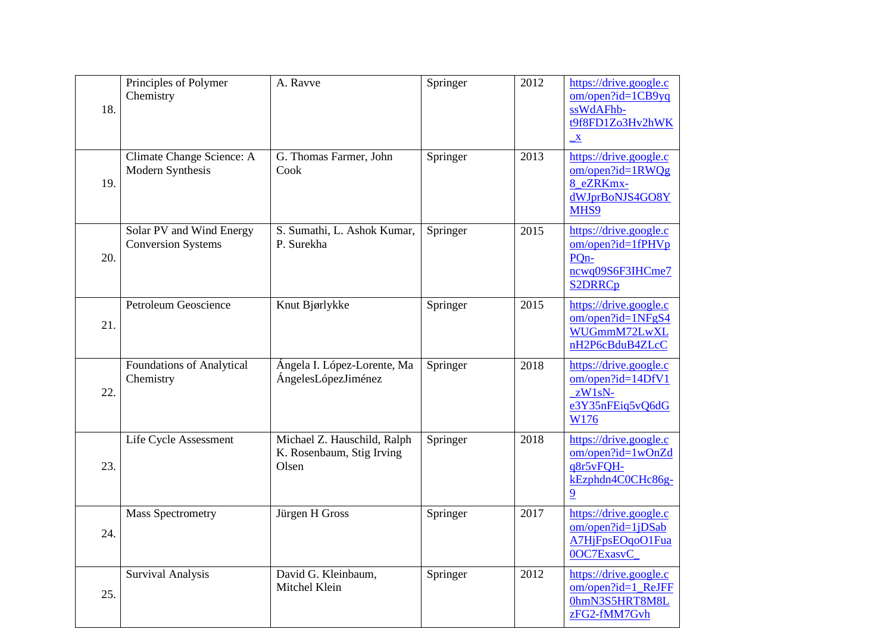| 18. | Principles of Polymer<br>Chemistry                    | A. Ravve                                                          | Springer | 2012 | https://drive.google.c<br>$om/open$ ?id=1CB9yq<br>ssWdAFhb-<br>t9f8FD1Zo3Hv2hWK<br>$\overline{\mathbf{X}}$ |
|-----|-------------------------------------------------------|-------------------------------------------------------------------|----------|------|------------------------------------------------------------------------------------------------------------|
| 19. | Climate Change Science: A<br>Modern Synthesis         | G. Thomas Farmer, John<br>Cook                                    | Springer | 2013 | https://drive.google.c<br>$om/open$ ?id=1RWQg<br>8_eZRKmx-<br>dWJprBoNJS4GO8Y<br>MHS9                      |
| 20. | Solar PV and Wind Energy<br><b>Conversion Systems</b> | S. Sumathi, L. Ashok Kumar,<br>P. Surekha                         | Springer | 2015 | https://drive.google.c<br>om/open?id=1fPHVp<br>PQ <sub>n</sub> -<br>ncwq09S6F3IHCme7<br><b>S2DRRCp</b>     |
| 21. | Petroleum Geoscience                                  | Knut Bjørlykke                                                    | Springer | 2015 | https://drive.google.c<br>$om/open$ ?id=1NFgS4<br>WUGmmM72LwXL<br>nH2P6cBduB4ZLcC                          |
| 22. | <b>Foundations of Analytical</b><br>Chemistry         | Ángela I. López-Lorente, Ma<br>ÁngelesLópezJiménez                | Springer | 2018 | https://drive.google.c<br>om/open?id=14DfV1<br>$zW1sN-$<br>e3Y35nFEig5vQ6dG<br>W176                        |
| 23. | Life Cycle Assessment                                 | Michael Z. Hauschild, Ralph<br>K. Rosenbaum, Stig Irving<br>Olsen | Springer | 2018 | https://drive.google.c<br>om/open?id=1wOnZd<br>q8r5vFQH-<br>kEzphdn4C0CHc86g-<br>9                         |
| 24. | <b>Mass Spectrometry</b>                              | Jürgen H Gross                                                    | Springer | 2017 | https://drive.google.c<br>$om/open$ ? $id=1jDSab$<br>A7HjFpsEOqoO1Fua<br>0OC7ExasvC                        |
| 25. | <b>Survival Analysis</b>                              | David G. Kleinbaum,<br>Mitchel Klein                              | Springer | 2012 | https://drive.google.c<br>om/open?id=1_ReJFF<br>0hmN3S5HRT8M8L<br>zFG2-fMM7Gvh                             |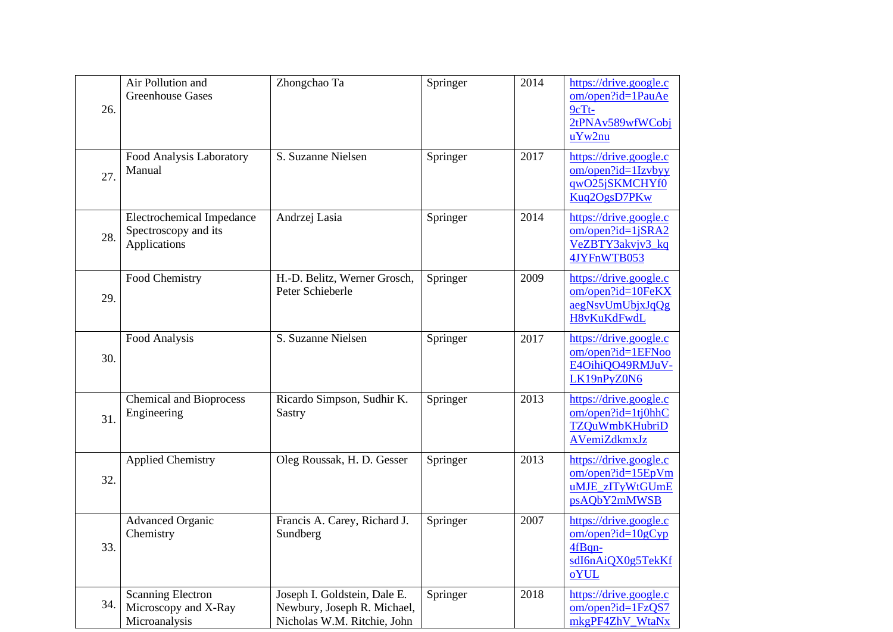| 26. | Air Pollution and<br><b>Greenhouse Gases</b>                             | Zhongchao Ta                                                                               | Springer | 2014 | https://drive.google.c<br>om/open?id=1PauAe<br>$9cTt-$<br>2tPNAv589wfWCobj<br>uYw2nu     |
|-----|--------------------------------------------------------------------------|--------------------------------------------------------------------------------------------|----------|------|------------------------------------------------------------------------------------------|
| 27. | Food Analysis Laboratory<br>Manual                                       | S. Suzanne Nielsen                                                                         | Springer | 2017 | https://drive.google.c<br>$om/open$ ?id=1Izvbyy<br>qwO25jSKMCHYf0<br>Kuq2OgsD7PKw        |
| 28. | <b>Electrochemical Impedance</b><br>Spectroscopy and its<br>Applications | Andrzej Lasia                                                                              | Springer | 2014 | https://drive.google.c<br>$om/open$ ? $id=1$ $jSRA2$<br>VeZBTY3akvjv3_kq<br>4JYFnWTB053  |
| 29. | Food Chemistry                                                           | H.-D. Belitz, Werner Grosch,<br>Peter Schieberle                                           | Springer | 2009 | https://drive.google.c<br>om/open?id=10FeKX<br>aegNsvUmUbjxJqQg<br>H8vKuKdFwdL           |
| 30. | Food Analysis                                                            | S. Suzanne Nielsen                                                                         | Springer | 2017 | https://drive.google.c<br>$om/open$ ?id=1EFNoo<br>E4OihiQO49RMJuV-<br>LK19nPyZ0N6        |
| 31. | <b>Chemical and Bioprocess</b><br>Engineering                            | Ricardo Simpson, Sudhir K.<br>Sastry                                                       | Springer | 2013 | https://drive.google.c<br>om/open?id=1tj0hhC<br><b>TZQuWmbKHubriD</b><br>AVemiZdkmxJz    |
| 32. | <b>Applied Chemistry</b>                                                 | Oleg Roussak, H. D. Gesser                                                                 | Springer | 2013 | https://drive.google.c<br>$om/open$ ?id=15EpVm<br>uMJE zITyWtGUmE<br>psAQbY2mMWSB        |
| 33. | <b>Advanced Organic</b><br>Chemistry                                     | Francis A. Carey, Richard J.<br>Sundberg                                                   | Springer | 2007 | https://drive.google.c<br>$om/open$ ?id= $10gCyp$<br>4fBqn-<br>sdI6nAiQX0g5TekKf<br>oYUL |
| 34. | <b>Scanning Electron</b><br>Microscopy and X-Ray<br>Microanalysis        | Joseph I. Goldstein, Dale E.<br>Newbury, Joseph R. Michael,<br>Nicholas W.M. Ritchie, John | Springer | 2018 | https://drive.google.c<br>om/open?id=1FzQS7<br>mkgPF4ZhV_WtaNx                           |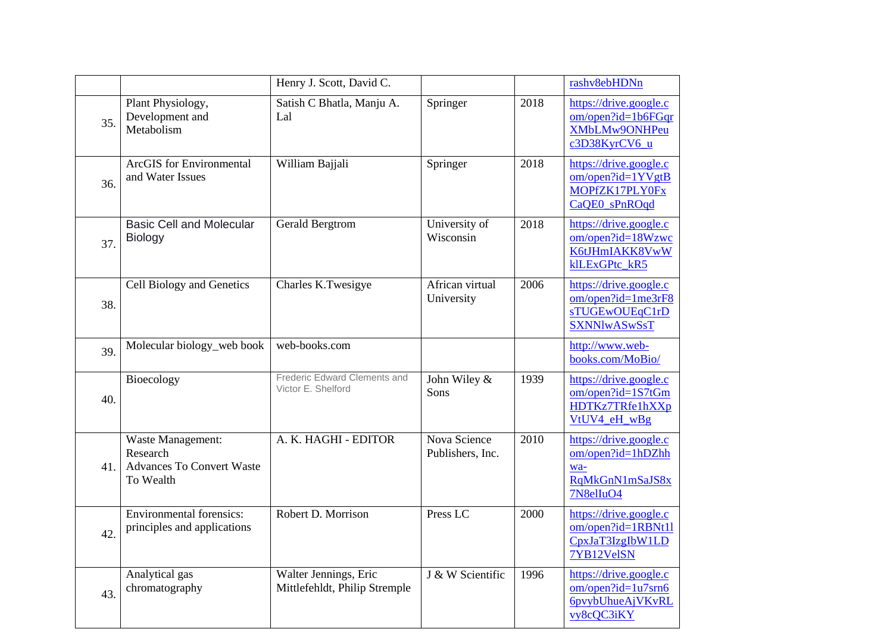|     |                                                                                | Henry J. Scott, David C.                               |                                  |      | rashv8ebHDNn                                                                             |
|-----|--------------------------------------------------------------------------------|--------------------------------------------------------|----------------------------------|------|------------------------------------------------------------------------------------------|
| 35. | Plant Physiology,<br>Development and<br>Metabolism                             | Satish C Bhatla, Manju A.<br>Lal                       | Springer                         | 2018 | https://drive.google.c<br>$om/open$ ?id=1b6FGqr<br>XMbLMw9ONHPeu<br>c3D38KyrCV6_u        |
| 36. | <b>ArcGIS</b> for Environmental<br>and Water Issues                            | William Bajjali                                        | Springer                         | 2018 | https://drive.google.c<br>$om/open$ ?id=1YVgtB<br>MOPfZK17PLY0Fx<br>CaQE0 sPnROqd        |
| 37. | <b>Basic Cell and Molecular</b><br><b>Biology</b>                              | <b>Gerald Bergtrom</b>                                 | University of<br>Wisconsin       | 2018 | https://drive.google.c<br>om/open?id=18Wzwc<br>K6tJHmIAKK8VwW<br>klLExGPtc kR5           |
| 38. | Cell Biology and Genetics                                                      | Charles K.Twesigye                                     | African virtual<br>University    | 2006 | https://drive.google.c<br>$om/open$ ?id=1me3rF8<br>sTUGEwOUEqC1rD<br><b>SXNNlwASwSsT</b> |
| 39. | Molecular biology_web book                                                     | web-books.com                                          |                                  |      | http://www.web-<br>books.com/MoBio/                                                      |
| 40. | Bioecology                                                                     | Frederic Edward Clements and<br>Victor E. Shelford     | John Wiley &<br>Sons             | 1939 | https://drive.google.c<br>om/open?id=1S7tGm<br>HDTKz7TRfe1hXXp<br>VtUV4 eH wBg           |
| 41. | Waste Management:<br>Research<br><b>Advances To Convert Waste</b><br>To Wealth | A. K. HAGHI - EDITOR                                   | Nova Science<br>Publishers, Inc. | 2010 | https://drive.google.c<br>om/open?id=1hDZhh<br>wa-<br>RqMkGnN1mSaJS8x<br>7N8elIuO4       |
| 42. | <b>Environmental forensics:</b><br>principles and applications                 | Robert D. Morrison                                     | Press <sub>LC</sub>              | 2000 | https://drive.google.c<br>om/open?id=1RBNt11<br>CpxJaT3IzgIbW1LD<br>7YB12VelSN           |
| 43. | Analytical gas<br>chromatography                                               | Walter Jennings, Eric<br>Mittlefehldt, Philip Stremple | J & W Scientific                 | 1996 | https://drive.google.c<br>$om/open$ ?id=1u7srn6<br><b>6pvybUhueAjVKvRL</b><br>vy8cQC3iKY |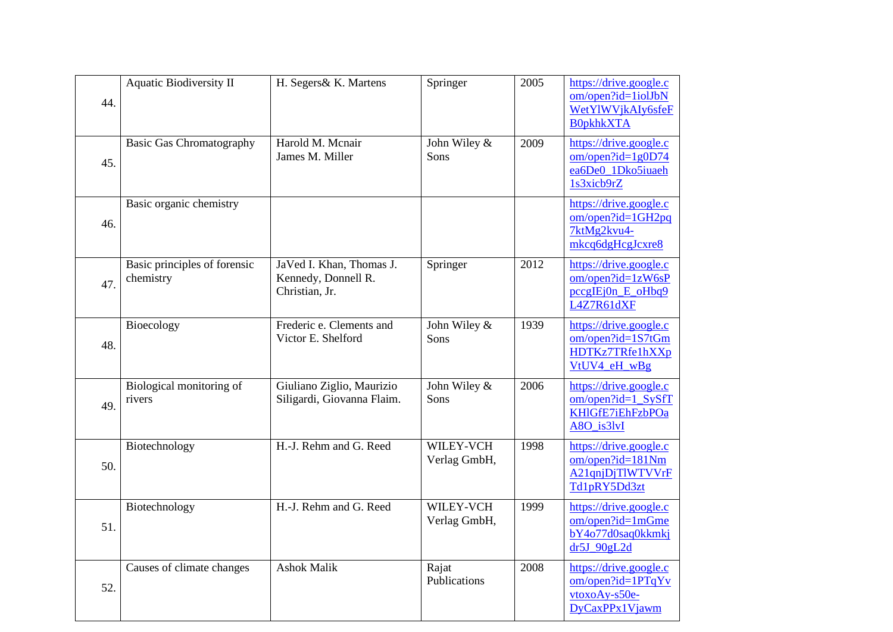| 44. | <b>Aquatic Biodiversity II</b>            | H. Segers& K. Martens                                             | Springer                    | 2005 | https://drive.google.c<br>om/open?id=1iolJbN<br>WetYlWVjkAIy6sfeF<br><b>B0pkhkXTA</b> |
|-----|-------------------------------------------|-------------------------------------------------------------------|-----------------------------|------|---------------------------------------------------------------------------------------|
| 45. | <b>Basic Gas Chromatography</b>           | Harold M. Menair<br>James M. Miller                               | John Wiley &<br>Sons        | 2009 | https://drive.google.c<br>$om/open$ ?id=1g0D74<br>ea6De0_1Dko5iuaeh<br>1s3xicb9rZ     |
| 46. | Basic organic chemistry                   |                                                                   |                             |      | https://drive.google.c<br>$om/open$ ?id=1GH2pq<br>7ktMg2kvu4-<br>mkcq6dgHcgJcxre8     |
| 47. | Basic principles of forensic<br>chemistry | JaVed I. Khan, Thomas J.<br>Kennedy, Donnell R.<br>Christian, Jr. | Springer                    | 2012 | https://drive.google.c<br>om/open?id=1zW6sP<br>$pccgIEjOn E_0Hbq9$<br>L4Z7R61dXF      |
| 48. | Bioecology                                | Frederic e. Clements and<br>Victor E. Shelford                    | John Wiley &<br>Sons        | 1939 | https://drive.google.c<br>om/open?id=1S7tGm<br>HDTKz7TRfe1hXXp<br>VtUV4_eH_wBg        |
| 49. | Biological monitoring of<br>rivers        | Giuliano Ziglio, Maurizio<br>Siligardi, Giovanna Flaim.           | John Wiley &<br><b>Sons</b> | 2006 | https://drive.google.c<br>$om/open$ ?id=1_SySfT<br>KHIGfE7iEhFzbPOa<br>A8O_is3lvI     |
| 50. | Biotechnology                             | H.-J. Rehm and G. Reed                                            | WILEY-VCH<br>Verlag GmbH,   | 1998 | https://drive.google.c<br>$om/open$ ?id=181Nm<br>A21qnjDjTlWTVVrF<br>Td1pRY5Dd3zt     |
| 51. | Biotechnology                             | H.-J. Rehm and G. Reed                                            | WILEY-VCH<br>Verlag GmbH,   | 1999 | https://drive.google.c<br>om/open?id=1mGme<br>bY4o77d0saq0kkmkj<br>$dr5J$ 90gL2d      |
| 52. | Causes of climate changes                 | <b>Ashok Malik</b>                                                | Rajat<br>Publications       | 2008 | https://drive.google.c<br>om/open?id=1PTqYv<br>$vtoxoAy-s50e-$<br>DyCaxPPx1Vjawm      |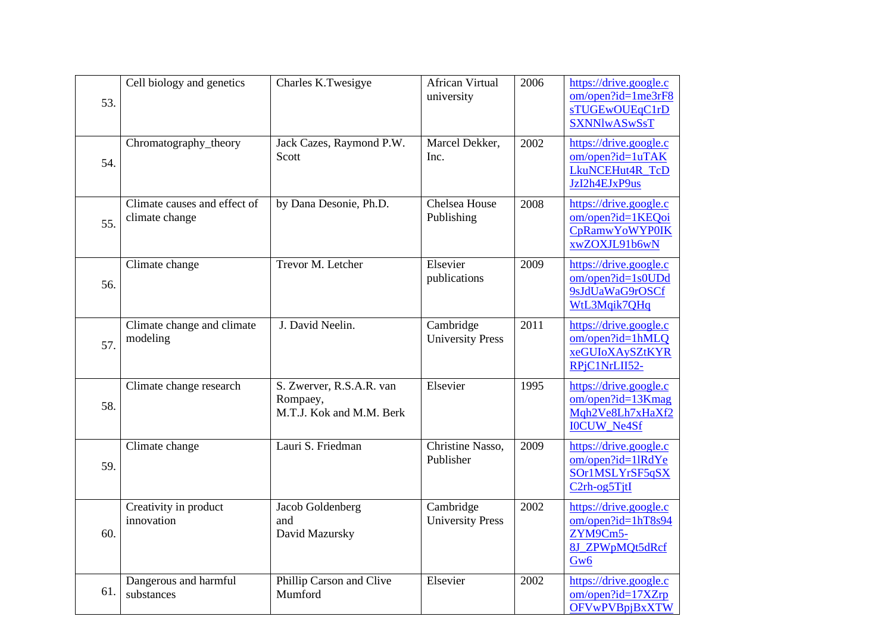| 53. | Cell biology and genetics                      | Charles K.Twesigye                                               | <b>African Virtual</b><br>university | 2006              | https://drive.google.c<br>$om/open$ ?id=1me3rF8<br>sTUGEwOUEqC1rD<br><b>SXNNlwASwSsT</b>                                           |
|-----|------------------------------------------------|------------------------------------------------------------------|--------------------------------------|-------------------|------------------------------------------------------------------------------------------------------------------------------------|
| 54. | Chromatography_theory                          | Jack Cazes, Raymond P.W.<br>Scott                                | Marcel Dekker,<br>Inc.               | 2002              | https://drive.google.c<br>om/open?id=1uTAK<br>LkuNCEHut4R TcD<br>JzI2h4EJxP9us                                                     |
| 55. | Climate causes and effect of<br>climate change | by Dana Desonie, Ph.D.                                           | Chelsea House<br>Publishing          | 2008              | https://drive.google.c<br>om/open?id=1KEQoi<br><b>CpRamwYoWYP0IK</b><br>xwZOXJL91b6wN                                              |
| 56. | Climate change                                 | Trevor M. Letcher                                                | Elsevier<br>publications             | 2009              | https://drive.google.c<br>$om/open$ ? $id=1s0UDd$<br>9sJdUaWaG9rOSCf<br>WtL3Mqik7QHq                                               |
| 57. | Climate change and climate<br>modeling         | J. David Neelin.                                                 | Cambridge<br><b>University Press</b> | $\overline{2011}$ | https://drive.google.c<br>om/open?id=1hMLQ<br>xeGUIoXAySZtKYR<br>RPjC1NrLII52-                                                     |
| 58. | Climate change research                        | S. Zwerver, R.S.A.R. van<br>Rompaey,<br>M.T.J. Kok and M.M. Berk | Elsevier                             | 1995              | https://drive.google.c<br>om/open?id=13Kmag<br>Mgh2Ve8Lh7xHaXf2<br><b>IOCUW_Ne4Sf</b>                                              |
| 59. | Climate change                                 | Lauri S. Friedman                                                | Christine Nasso,<br>Publisher        | 2009              | https://drive.google.c<br>om/open?id=1lRdYe<br>SOr <sub>1</sub> MSLYrSF5qSX<br>C <sub>2</sub> rh-og <sub>5</sub> T <sub>it</sub> I |
| 60. | Creativity in product<br>innovation            | Jacob Goldenberg<br>and<br>David Mazursky                        | Cambridge<br><b>University Press</b> | 2002              | https://drive.google.c<br>$om/open$ ?id=1hT8s94<br>ZYM9Cm5-<br>8J_ZPWpMQt5dRcf<br>Gw6                                              |
| 61. | Dangerous and harmful<br>substances            | Phillip Carson and Clive<br>Mumford                              | Elsevier                             | 2002              | https://drive.google.c<br>$om/open$ ?id=17XZrp<br><b>OFVwPVBpjBxXTW</b>                                                            |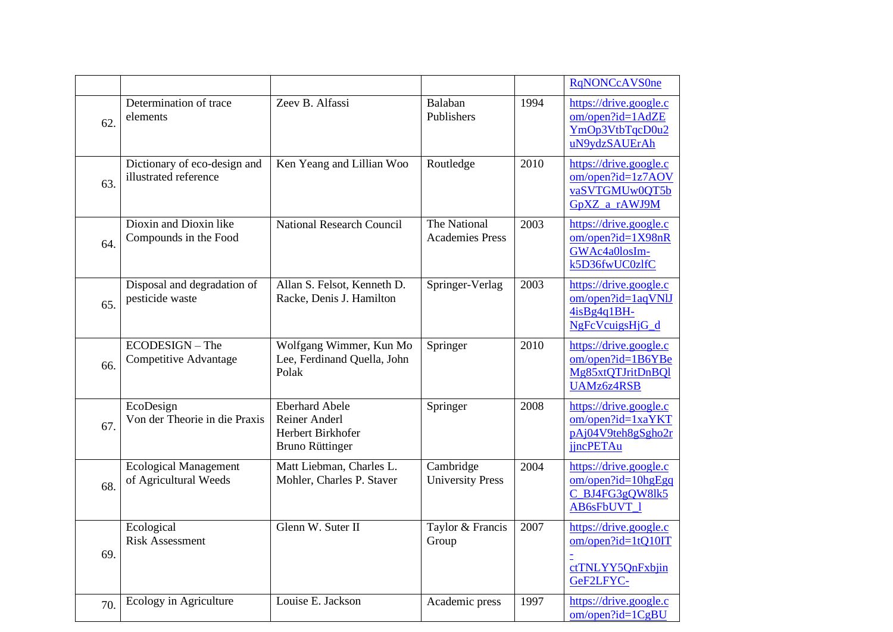|     |                                                       |                                                                                       |                                        |      | <b>RqNONCcAVS0ne</b>                                                                  |
|-----|-------------------------------------------------------|---------------------------------------------------------------------------------------|----------------------------------------|------|---------------------------------------------------------------------------------------|
| 62. | Determination of trace<br>elements                    | Zeev B. Alfassi                                                                       | Balaban<br>Publishers                  | 1994 | https://drive.google.c<br>om/open?id=1AdZE<br>YmOp3VtbTqcD0u2<br>uN9ydzSAUErAh        |
| 63. | Dictionary of eco-design and<br>illustrated reference | Ken Yeang and Lillian Woo                                                             | Routledge                              | 2010 | https://drive.google.c<br>$om/open$ ?id=1z7AOV<br>vaSVTGMUw0QT5b<br>GpXZ a rAWJ9M     |
| 64. | Dioxin and Dioxin like<br>Compounds in the Food       | <b>National Research Council</b>                                                      | The National<br><b>Academies Press</b> | 2003 | https://drive.google.c<br>om/open?id=1X98nR<br>GWAc4a0losIm-<br>k5D36fwUC0zlfC        |
| 65. | Disposal and degradation of<br>pesticide waste        | Allan S. Felsot, Kenneth D.<br>Racke, Denis J. Hamilton                               | Springer-Verlag                        | 2003 | https://drive.google.c<br>om/open?id=1aqVNlJ<br>$4isBg4q1BH-$<br>NgFcVcuigsHjG_d      |
| 66. | ECODESIGN - The<br>Competitive Advantage              | Wolfgang Wimmer, Kun Mo<br>Lee, Ferdinand Quella, John<br>Polak                       | Springer                               | 2010 | https://drive.google.c<br>om/open?id=1B6YBe<br>Mg85xtQTJritDnBQl<br><b>UAMz6z4RSB</b> |
| 67. | EcoDesign<br>Von der Theorie in die Praxis            | <b>Eberhard Abele</b><br>Reiner Anderl<br>Herbert Birkhofer<br><b>Bruno Rüttinger</b> | Springer                               | 2008 | https://drive.google.c<br>$om/open$ ?id=1xaYKT<br>pAj04V9teh8gSgho2r<br>jjncPETAu     |
| 68. | <b>Ecological Management</b><br>of Agricultural Weeds | Matt Liebman, Charles L.<br>Mohler, Charles P. Staver                                 | Cambridge<br><b>University Press</b>   | 2004 | https://drive.google.c<br>$om/open$ ?id=10hgEgq<br>C_BJ4FG3gQW8lk5<br>AB6sFbUVT 1     |
| 69. | Ecological<br><b>Risk Assessment</b>                  | Glenn W. Suter II                                                                     | Taylor & Francis<br>Group              | 2007 | https://drive.google.c<br>$om/open$ ?id=1tQ10IT<br>ctTNLYY5QnFxbjin<br>GeF2LFYC-      |
| 70. | Ecology in Agriculture                                | Louise E. Jackson                                                                     | Academic press                         | 1997 | https://drive.google.c<br>$om/open$ ?id= $1CgBU$                                      |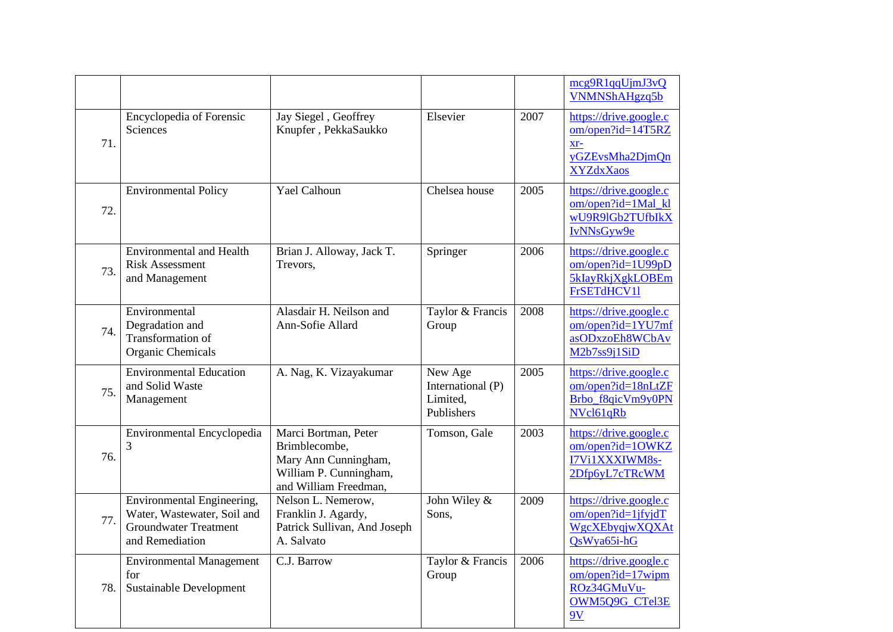|     |                                                                                                              |                                                                                                                  |                                                        |      | mcg9R1qqUjmJ3vQ<br>VNMNShAHgzq5b                                                                                    |
|-----|--------------------------------------------------------------------------------------------------------------|------------------------------------------------------------------------------------------------------------------|--------------------------------------------------------|------|---------------------------------------------------------------------------------------------------------------------|
| 71. | Encyclopedia of Forensic<br><b>Sciences</b>                                                                  | Jay Siegel, Geoffrey<br>Knupfer, PekkaSaukko                                                                     | Elsevier                                               | 2007 | https://drive.google.c<br>om/open?id=14T5RZ<br>$Xr-$<br>yGZEvsMha2DjmQn<br><b>XYZdxXaos</b>                         |
| 72. | <b>Environmental Policy</b>                                                                                  | <b>Yael Calhoun</b>                                                                                              | Chelsea house                                          | 2005 | https://drive.google.c<br>om/open?id=1Mal_kl<br>wU9R9lGb2TUfbIkX<br>IvNNsGyw9e                                      |
| 73. | <b>Environmental and Health</b><br><b>Risk Assessment</b><br>and Management                                  | Brian J. Alloway, Jack T.<br>Trevors,                                                                            | Springer                                               | 2006 | https://drive.google.c<br>om/open?id=1U99pD<br>5kIayRkjXgkLOBEm<br>FrSETdHCV11                                      |
| 74. | Environmental<br>Degradation and<br>Transformation of<br><b>Organic Chemicals</b>                            | Alasdair H. Neilson and<br>Ann-Sofie Allard                                                                      | Taylor & Francis<br>Group                              | 2008 | https://drive.google.c<br>om/open?id=1YU7mf<br>asODxzoEh8WCbAv<br>M <sub>2</sub> b <sub>7ss9</sub> <sub>1</sub> SiD |
| 75. | <b>Environmental Education</b><br>and Solid Waste<br>Management                                              | A. Nag, K. Vizayakumar                                                                                           | New Age<br>International (P)<br>Limited,<br>Publishers | 2005 | https://drive.google.c<br>om/open?id=18nLtZF<br>Brbo_f8qicVm9y0PN<br>NVcl61qRb                                      |
| 76. | Environmental Encyclopedia                                                                                   | Marci Bortman, Peter<br>Brimblecombe,<br>Mary Ann Cunningham,<br>William P. Cunningham,<br>and William Freedman, | Tomson, Gale                                           | 2003 | https://drive.google.c<br>om/open?id=1OWKZ<br>I7Vi1XXXIWM8s-<br>2Dfp6yL7cTRcWM                                      |
| 77. | Environmental Engineering,<br>Water, Wastewater, Soil and<br><b>Groundwater Treatment</b><br>and Remediation | Nelson L. Nemerow,<br>Franklin J. Agardy,<br>Patrick Sullivan, And Joseph<br>A. Salvato                          | John Wiley &<br>Sons,                                  | 2009 | https://drive.google.c<br>$om/open$ ?id=1jfyjdT<br>WgcXEbyqjwXQXAt<br>QsWya65i-hG                                   |
| 78. | <b>Environmental Management</b><br>for<br><b>Sustainable Development</b>                                     | C.J. Barrow                                                                                                      | Taylor & Francis<br>Group                              | 2006 | https://drive.google.c<br>om/open?id=17wipm<br>ROz34GMuVu-<br>OWM5Q9G_CTel3E<br>9V                                  |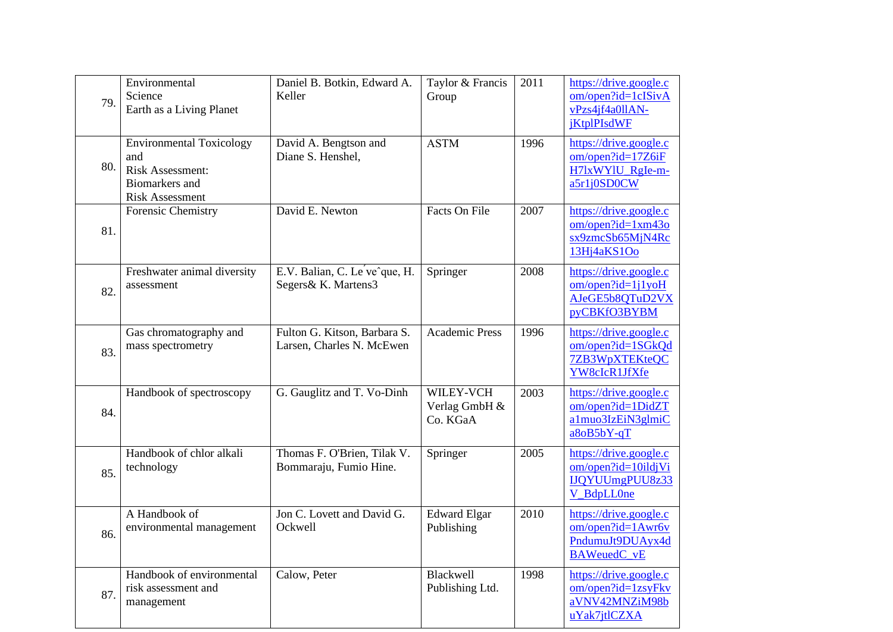| 79. | Environmental<br>Science<br>Earth as a Living Planet                                                                 | Daniel B. Botkin, Edward A.<br>Keller                     | Taylor & Francis<br>Group              | 2011 | https://drive.google.c<br>om/open?id=1cISivA<br>vPzs4jf4a0llAN-<br><i>j</i> KtplPIsdWF |
|-----|----------------------------------------------------------------------------------------------------------------------|-----------------------------------------------------------|----------------------------------------|------|----------------------------------------------------------------------------------------|
| 80. | <b>Environmental Toxicology</b><br>and<br><b>Risk Assessment:</b><br><b>Biomarkers</b> and<br><b>Risk Assessment</b> | David A. Bengtson and<br>Diane S. Henshel,                | <b>ASTM</b>                            | 1996 | https://drive.google.c<br>om/open?id=17Z6iF<br>H7lxWYlU_RgIe-m-<br>a5r1j0SD0CW         |
| 81. | Forensic Chemistry                                                                                                   | David E. Newton                                           | Facts On File                          | 2007 | https://drive.google.c<br>om/open?id=1xm43o<br>sx9zmcSb65MjN4Rc<br>13Hj4aKS1Oo         |
| 82. | Freshwater animal diversity<br>assessment                                                                            | E.V. Balian, C. Le ve^que, H.<br>Segers& K. Martens3      | Springer                               | 2008 | https://drive.google.c<br>$om/open$ ? $id=1j1$ yoH<br>AJeGE5b8QTuD2VX<br>pyCBKfO3BYBM  |
| 83. | Gas chromatography and<br>mass spectrometry                                                                          | Fulton G. Kitson, Barbara S.<br>Larsen, Charles N. McEwen | <b>Academic Press</b>                  | 1996 | https://drive.google.c<br>om/open?id=1SGkQd<br>7ZB3WpXTEKteQC<br>YW8cIcR1JfXfe         |
| 84. | Handbook of spectroscopy                                                                                             | G. Gauglitz and T. Vo-Dinh                                | WILEY-VCH<br>Verlag GmbH &<br>Co. KGaA | 2003 | https://drive.google.c<br>om/open?id=1DidZT<br>a1muo3IzEiN3glmiC<br>$a8oB5bY-qT$       |
| 85. | Handbook of chlor alkali<br>technology                                                                               | Thomas F. O'Brien, Tilak V.<br>Bommaraju, Fumio Hine.     | Springer                               | 2005 | https://drive.google.c<br>om/open?id=10ildjVi<br>IJQYUUmgPUU8z33<br>V BdpLL0ne         |
| 86. | A Handbook of<br>environmental management                                                                            | Jon C. Lovett and David G.<br>Ockwell                     | <b>Edward Elgar</b><br>Publishing      | 2010 | https://drive.google.c<br>om/open?id=1Awr6v<br>PndumuJt9DUAyx4d<br><b>BAWeuedC_vE</b>  |
| 87. | Handbook of environmental<br>risk assessment and<br>management                                                       | Calow, Peter                                              | Blackwell<br>Publishing Ltd.           | 1998 | https://drive.google.c<br>om/open?id=1zsyFkv<br>aVNV42MNZiM98b<br>uYak7jtlCZXA         |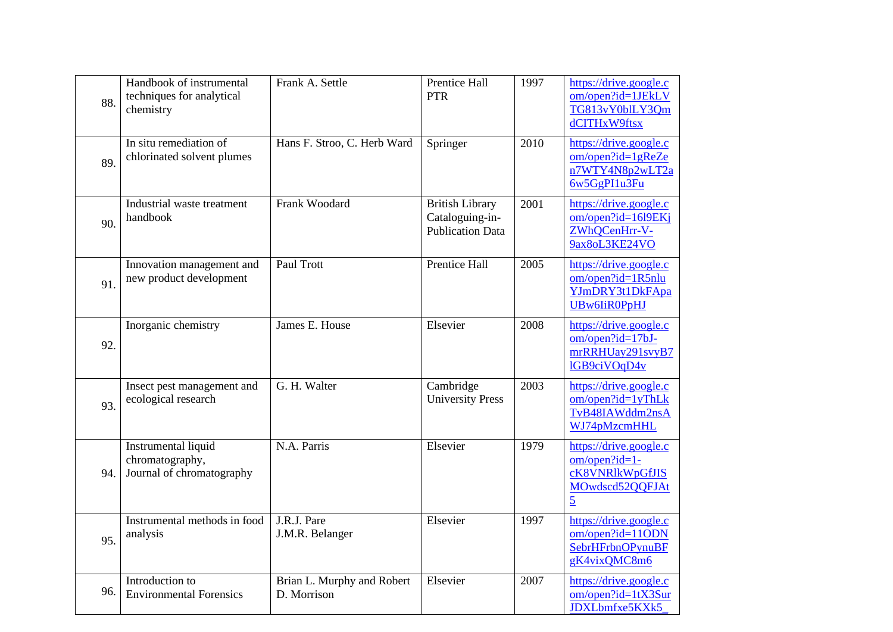| 88. | Handbook of instrumental<br>techniques for analytical<br>chemistry  | Frank A. Settle                           | Prentice Hall<br><b>PTR</b>                                          | 1997 | https://drive.google.c<br>om/open?id=1JEkLV<br>TG813vY0blLY3Qm<br>dCITHxW9ftsx                  |
|-----|---------------------------------------------------------------------|-------------------------------------------|----------------------------------------------------------------------|------|-------------------------------------------------------------------------------------------------|
| 89. | In situ remediation of<br>chlorinated solvent plumes                | Hans F. Stroo, C. Herb Ward               | Springer                                                             | 2010 | https://drive.google.c<br>$om/open$ ? $id=1gReZe$<br>n7WTY4N8p2wLT2a<br>6w5GgPI1u3Fu            |
| 90. | Industrial waste treatment<br>handbook                              | Frank Woodard                             | <b>British Library</b><br>Cataloguing-in-<br><b>Publication Data</b> | 2001 | https://drive.google.c<br>om/open?id=16l9EKi<br>ZWhQCenHrr-V-<br>9ax8oL3KE24VO                  |
| 91. | Innovation management and<br>new product development                | Paul Trott                                | Prentice Hall                                                        | 2005 | https://drive.google.c<br>$om/open$ ? $id=1R5nlu$<br>YJmDRY3t1DkFApa<br><b>UBw6IiR0PpHJ</b>     |
| 92. | Inorganic chemistry                                                 | James E. House                            | Elsevier                                                             | 2008 | https://drive.google.c<br>om/open?id=17bJ-<br>mrRRHUay291svyB7<br>lGB9ciVOqD4v                  |
| 93. | Insect pest management and<br>ecological research                   | G. H. Walter                              | Cambridge<br><b>University Press</b>                                 | 2003 | https://drive.google.c<br>om/open?id=1yThLk<br>TvB48IAWddm2nsA<br>WJ74pMzcmHHL                  |
| 94. | Instrumental liquid<br>chromatography,<br>Journal of chromatography | N.A. Parris                               | Elsevier                                                             | 1979 | https://drive.google.c<br>om/open?id=1-<br>cK8VNRlkWpGfJIS<br>MOwdscd52QQFJAt<br>$\overline{5}$ |
| 95. | Instrumental methods in food<br>analysis                            | J.R.J. Pare<br>J.M.R. Belanger            | Elsevier                                                             | 1997 | https://drive.google.c<br>om/open?id=11ODN<br><b>SebrHFrbnOPynuBF</b><br>gK4vixQMC8m6           |
| 96. | Introduction to<br><b>Environmental Forensics</b>                   | Brian L. Murphy and Robert<br>D. Morrison | Elsevier                                                             | 2007 | https://drive.google.c<br>om/open?id=1tX3Sur<br>JDXLbmfxe5KXk5                                  |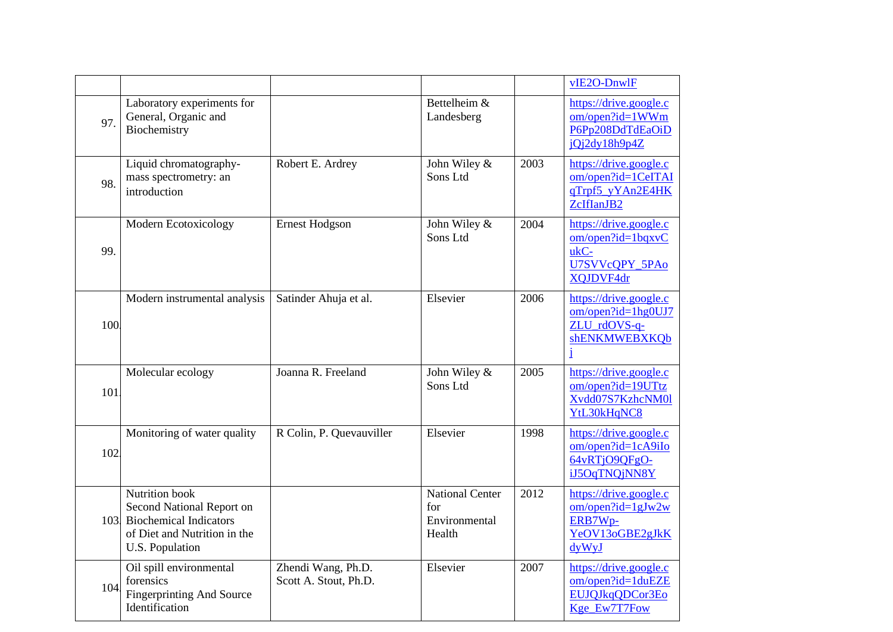|     |                                                                                                                                 |                                             |                                                          |      | $VIE2O-DnWIF$                                                                         |
|-----|---------------------------------------------------------------------------------------------------------------------------------|---------------------------------------------|----------------------------------------------------------|------|---------------------------------------------------------------------------------------|
| 97. | Laboratory experiments for<br>General, Organic and<br>Biochemistry                                                              |                                             | Bettelheim $\overline{\&}$<br>Landesberg                 |      | https://drive.google.c<br>om/open?id=1WWm<br>P6Pp208DdTdEaOiD<br>jQj2dy18h9p4Z        |
| 98. | Liquid chromatography-<br>mass spectrometry: an<br>introduction                                                                 | Robert E. Ardrey                            | John Wiley &<br>Sons Ltd                                 | 2003 | https://drive.google.c<br>om/open?id=1CeITAI<br>qTrpf5 yYAn2E4HK<br>ZcIfIanJB2        |
| 99. | Modern Ecotoxicology                                                                                                            | <b>Ernest Hodgson</b>                       | John Wiley &<br>Sons Ltd                                 | 2004 | https://drive.google.c<br>$om/open$ ?id=1bqxvC<br>ukC-<br>U7SVVcQPY 5PAo<br>XQJDVF4dr |
| 100 | Modern instrumental analysis                                                                                                    | Satinder Ahuja et al.                       | Elsevier                                                 | 2006 | https://drive.google.c<br>om/open?id=1hg0UJ7<br>ZLU_rdOVS-q-<br>shENKMWEBXKQb<br>i    |
| 101 | Molecular ecology                                                                                                               | Joanna R. Freeland                          | John Wiley &<br>Sons Ltd                                 | 2005 | https://drive.google.c<br>om/open?id=19UTtz<br>Xvdd07S7KzhcNM01<br>YtL30kHqNC8        |
| 102 | Monitoring of water quality                                                                                                     | R Colin, P. Quevauviller                    | Elsevier                                                 | 1998 | https://drive.google.c<br>om/open?id=1cA9iIo<br>64vRTjO9QFgO-<br>iJ5OqTNQjNN8Y        |
| 103 | Nutrition book<br>Second National Report on<br><b>Biochemical Indicators</b><br>of Diet and Nutrition in the<br>U.S. Population |                                             | <b>National Center</b><br>for<br>Environmental<br>Health | 2012 | https://drive.google.c<br>$om/open$ ?id=1gJw2w<br>ERB7Wp-<br>YeOV13oGBE2gJkK<br>dyWyJ |
| 104 | Oil spill environmental<br>forensics<br><b>Fingerprinting And Source</b><br>Identification                                      | Zhendi Wang, Ph.D.<br>Scott A. Stout, Ph.D. | Elsevier                                                 | 2007 | https://drive.google.c<br>om/open?id=1duEZE<br>EUJQJkqQDCor3Eo<br>Kge_Ew7T7Fow        |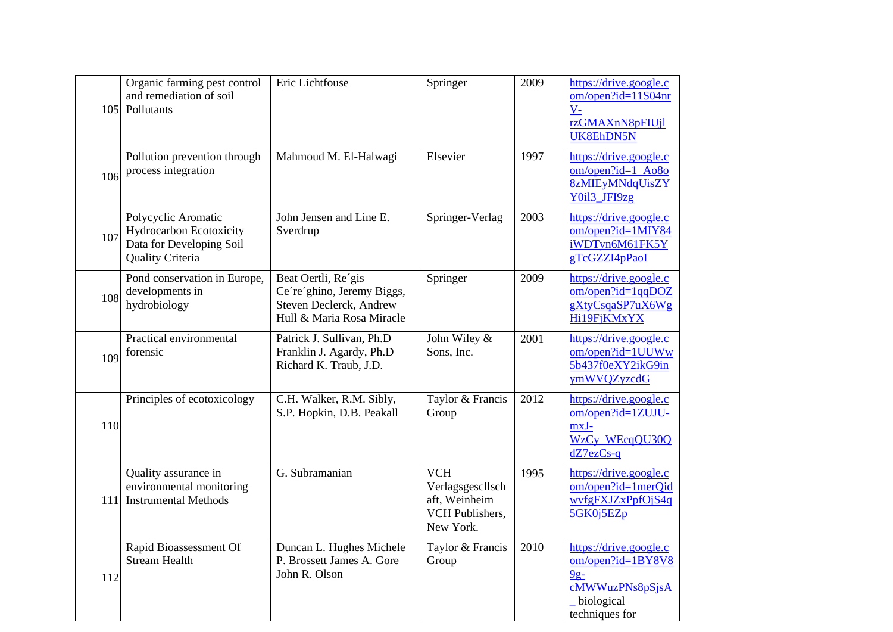| 105 | Organic farming pest control<br>and remediation of soil<br>Pollutants                                 | Eric Lichtfouse                                                                                           | Springer                                                                        | 2009 | https://drive.google.c<br>om/open?id=11S04nr<br>$V -$<br>rzGMAXnN8pFIUjl<br>UK8EhDN5N                    |
|-----|-------------------------------------------------------------------------------------------------------|-----------------------------------------------------------------------------------------------------------|---------------------------------------------------------------------------------|------|----------------------------------------------------------------------------------------------------------|
| 106 | Pollution prevention through<br>process integration                                                   | Mahmoud M. El-Halwagi                                                                                     | Elsevier                                                                        | 1997 | https://drive.google.c<br>om/open?id=1_Ao8o<br><b>8zMIEyMNdqUisZY</b><br>Y0i13_JFI9zg                    |
| 107 | Polycyclic Aromatic<br>Hydrocarbon Ecotoxicity<br>Data for Developing Soil<br><b>Quality Criteria</b> | John Jensen and Line E.<br>Sverdrup                                                                       | Springer-Verlag                                                                 | 2003 | https://drive.google.c<br>om/open?id=1MIY84<br>iWDTyn6M61FK5Y<br>gTcGZZI4pPaoI                           |
| 108 | Pond conservation in Europe,<br>developments in<br>hydrobiology                                       | Beat Oertli, Re'gis<br>Ce're'ghino, Jeremy Biggs,<br>Steven Declerck, Andrew<br>Hull & Maria Rosa Miracle | Springer                                                                        | 2009 | https://drive.google.c<br>$om/open$ ?id=1qqDOZ<br>gXtyCsqaSP7uX6Wg<br>Hi19FjKMxYX                        |
| 109 | Practical environmental<br>forensic                                                                   | Patrick J. Sullivan, Ph.D<br>Franklin J. Agardy, Ph.D<br>Richard K. Traub, J.D.                           | John Wiley &<br>Sons, Inc.                                                      | 2001 | https://drive.google.c<br>$om/open$ ?id=1UUWw<br>5b437f0eXY2ikG9in<br>ymWVQZyzcdG                        |
| 110 | Principles of ecotoxicology                                                                           | C.H. Walker, R.M. Sibly,<br>S.P. Hopkin, D.B. Peakall                                                     | Taylor & Francis<br>Group                                                       | 2012 | https://drive.google.c<br>om/open?id=1ZUJU-<br>mxJ-<br>WzCy_WEcqQU30Q<br>$dZ$ 7ez $Cs$ -q                |
| 111 | Quality assurance in<br>environmental monitoring<br><b>Instrumental Methods</b>                       | G. Subramanian                                                                                            | <b>VCH</b><br>Verlagsgescllsch<br>aft, Weinheim<br>VCH Publishers,<br>New York. | 1995 | https://drive.google.c<br>om/open?id=1merQid<br>wvfgFXJZxPpfOjS4q<br>5GK0j5EZp                           |
| 112 | Rapid Bioassessment Of<br><b>Stream Health</b>                                                        | Duncan L. Hughes Michele<br>P. Brossett James A. Gore<br>John R. Olson                                    | Taylor & Francis<br>Group                                                       | 2010 | https://drive.google.c<br>om/open?id=1BY8V8<br>$9g-$<br>cMWWuzPNs8pSjsA<br>_biological<br>techniques for |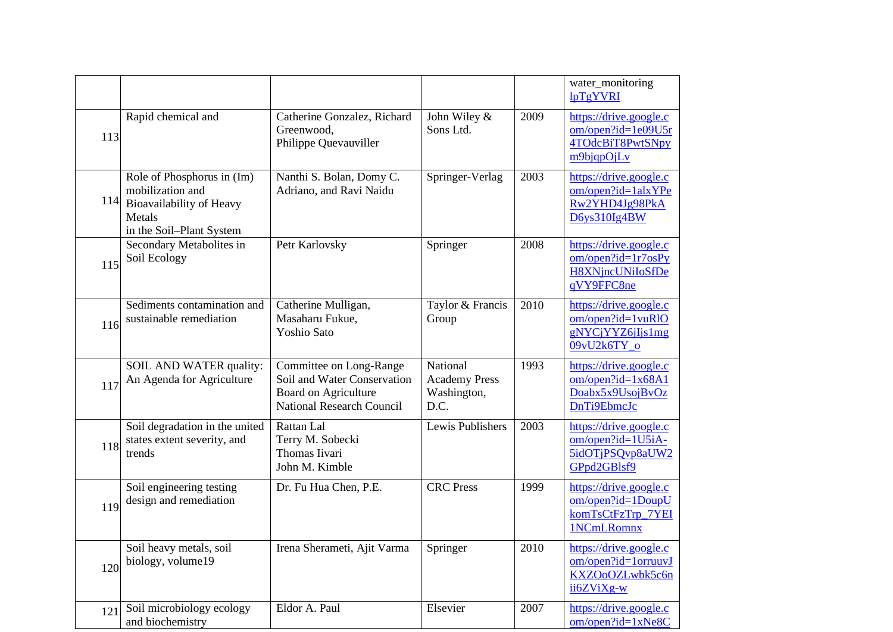|      |                                                                                                                  |                                                                                                                    |                                                         |      | water_monitoring<br>lpTgYVRI                                                             |
|------|------------------------------------------------------------------------------------------------------------------|--------------------------------------------------------------------------------------------------------------------|---------------------------------------------------------|------|------------------------------------------------------------------------------------------|
| 113. | Rapid chemical and                                                                                               | Catherine Gonzalez, Richard<br>Greenwood,<br>Philippe Quevauviller                                                 | John Wiley &<br>Sons Ltd.                               | 2009 | https://drive.google.c<br>om/open?id=1e09U5r<br>4TOdcBiT8PwtSNpy<br>m9bjqpOjLv           |
| 114  | Role of Phosphorus in (Im)<br>mobilization and<br>Bioavailability of Heavy<br>Metals<br>in the Soil-Plant System | Nanthi S. Bolan, Domy C.<br>Adriano, and Ravi Naidu                                                                | Springer-Verlag                                         | 2003 | https://drive.google.c<br>$om/open$ ?id= $1$ alxYPe<br>Rw2YHD4Jg98PkA<br>D6ys310Ig4BW    |
| 115  | Secondary Metabolites in<br>Soil Ecology                                                                         | Petr Karlovsky                                                                                                     | Springer                                                | 2008 | https://drive.google.c<br>$om/open$ ?id=1r7osPy<br><b>H8XNjncUNiIoSfDe</b><br>qVY9FFC8ne |
| 116  | Sediments contamination and<br>sustainable remediation                                                           | Catherine Mulligan,<br>Masaharu Fukue,<br><b>Yoshio Sato</b>                                                       | Taylor & Francis<br>Group                               | 2010 | https://drive.google.c<br>$om/open$ ?id=1 $v$ uRlO<br>gNYCjYYZ6jIjs1mg<br>09vU2k6TY o    |
| 117  | SOIL AND WATER quality:<br>An Agenda for Agriculture                                                             | Committee on Long-Range<br>Soil and Water Conservation<br><b>Board on Agriculture</b><br>National Research Council | National<br><b>Academy Press</b><br>Washington,<br>D.C. | 1993 | https://drive.google.c<br>$om/open$ ?id=1x68A1<br>Doabx5x9UsojBvOz<br>DnTi9EbmcJc        |
| 118  | Soil degradation in the united<br>states extent severity, and<br>trends                                          | Rattan Lal<br>Terry M. Sobecki<br>Thomas Iivari<br>John M. Kimble                                                  | Lewis Publishers                                        | 2003 | https://drive.google.c<br>om/open?id=1U5iA-<br>5idOTjPSQvp8aUW2<br>GPpd2GBlsf9           |
| 119  | Soil engineering testing<br>design and remediation                                                               | Dr. Fu Hua Chen, P.E.                                                                                              | <b>CRC</b> Press                                        | 1999 | https://drive.google.c<br>om/open?id=1DoupU<br>komTsCtFzTrp_7YEI<br>1NCmLRomnx           |
| 120  | Soil heavy metals, soil<br>biology, volume19                                                                     | Irena Sherameti, Ajit Varma                                                                                        | Springer                                                | 2010 | https://drive.google.c<br>om/open?id=1orruuvJ<br>KXZOoOZLwbk5c6n<br>ii6ZViXg-w           |
| 121  | Soil microbiology ecology<br>and biochemistry                                                                    | Eldor A. Paul                                                                                                      | Elsevier                                                | 2007 | https://drive.google.c<br>$om/open$ ?id=1xNe8C                                           |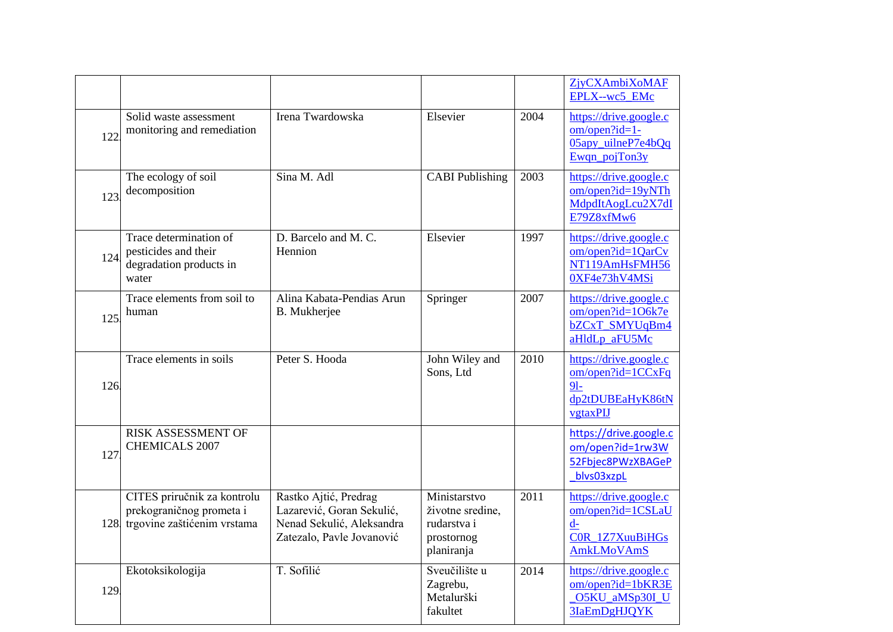|      |                                                                                        |                                                                                                              |                                                                             |      | <b>ZjyCXAmbiXoMAF</b><br>EPLX--wc5 EMc                                                             |
|------|----------------------------------------------------------------------------------------|--------------------------------------------------------------------------------------------------------------|-----------------------------------------------------------------------------|------|----------------------------------------------------------------------------------------------------|
| 122  | Solid waste assessment<br>monitoring and remediation                                   | Irena Twardowska                                                                                             | Elsevier                                                                    | 2004 | https://drive.google.c<br>$om/open?id=1$ -<br>05apy_uilneP7e4bQq<br>Ewqn_pojTon3y                  |
| 123  | The ecology of soil<br>decomposition                                                   | Sina M. Adl                                                                                                  | <b>CABI</b> Publishing                                                      | 2003 | https://drive.google.c<br>om/open?id=19yNTh<br>MdpdItAogLcu2X7dI<br>E79Z8xfMw6                     |
| 124  | Trace determination of<br>pesticides and their<br>degradation products in<br>water     | D. Barcelo and M. C.<br>Hennion                                                                              | Elsevier                                                                    | 1997 | https://drive.google.c<br>om/open?id=1QarCv<br>NT119AmHsFMH56<br>0XF4e73hV4MSi                     |
| 125  | Trace elements from soil to<br>human                                                   | Alina Kabata-Pendias Arun<br><b>B.</b> Mukherjee                                                             | Springer                                                                    | 2007 | https://drive.google.c<br>om/open?id=1O6k7e<br>bZCxT_SMYUqBm4<br>aHldLp_aFU5Mc                     |
| 126  | Trace elements in soils                                                                | Peter S. Hooda                                                                                               | John Wiley and<br>Sons, Ltd                                                 | 2010 | https://drive.google.c<br>$om/open$ ?id=1 $CCxFq$<br>$91-$<br>dp2tDUBEaHyK86tN<br>vgtaxPIJ         |
| 127  | <b>RISK ASSESSMENT OF</b><br><b>CHEMICALS 2007</b>                                     |                                                                                                              |                                                                             |      | https://drive.google.c<br>om/open?id=1rw3W<br>52Fbjec8PWzXBAGeP<br>blvs03xzpL                      |
| 128. | CITES priručnik za kontrolu<br>prekograničnog prometa i<br>trgovine zaštićenim vrstama | Rastko Ajtić, Predrag<br>Lazarević, Goran Sekulić,<br>Nenad Sekulić, Aleksandra<br>Zatezalo, Pavle Jovanović | Ministarstvo<br>životne sredine,<br>rudarstva i<br>prostornog<br>planiranja | 2011 | https://drive.google.c<br>om/open?id=1CSLaU<br>$d-$<br><b>COR 1Z7XuuBiHGs</b><br><b>AmkLMoVAmS</b> |
| 129. | Ekotoksikologija                                                                       | T. Sofilić                                                                                                   | Sveučilište u<br>Zagrebu,<br>Metalurški<br>fakultet                         | 2014 | https://drive.google.c<br>om/open?id=1bKR3E<br>O5KU_aMSp30I_U<br><b>3IaEmDgHJQYK</b>               |